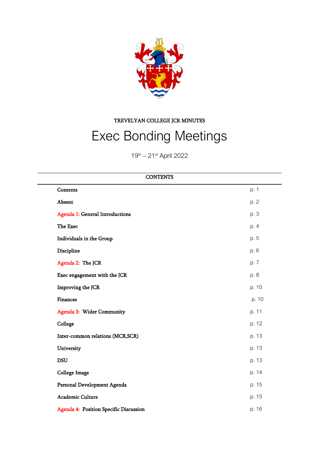

TREVELYAN COLLEGE JCR MINUTES

# Exec Bonding Meetings

19<sup>th</sup> – 21<sup>st</sup> April 2022

| <b>CONTENTS</b>                  |                                        |       |
|----------------------------------|----------------------------------------|-------|
| Contents                         |                                        | p. 1  |
| Absent                           |                                        | p. 2  |
| Agenda 1: General Introductions  |                                        | p. 3  |
| The Exec                         |                                        | p. 4  |
| Individuals in the Group         |                                        | p. 5  |
| Discipline                       |                                        | p. 6  |
| Agenda 2: The JCR                |                                        | p. 7  |
| Exec engagement with the JCR     |                                        | p. 8  |
| Improving the JCR                |                                        | p. 10 |
| <b>Finances</b>                  |                                        | p. 10 |
| Agenda 3: Wider Community        |                                        | p. 11 |
| College                          |                                        | p. 12 |
| Inter-common relations (MCR,SCR) |                                        | p. 13 |
| University                       |                                        | p. 13 |
| <b>DSU</b>                       |                                        | p. 13 |
| <b>College Image</b>             |                                        | p. 14 |
| Personal Development Agenda      |                                        | p. 15 |
| Academic Culture                 |                                        | p. 15 |
|                                  | Agenda 4: Position Specific Discussion | p. 16 |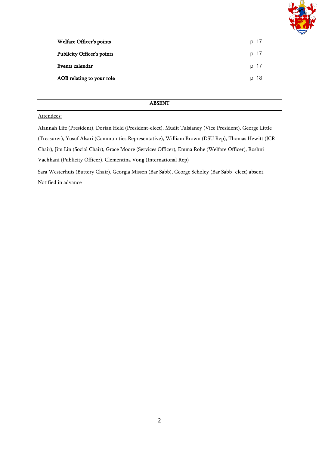

| Welfare Officer's points          | p. 17 |
|-----------------------------------|-------|
| <b>Publicity Officer's points</b> | p. 17 |
| Events calendar                   | p. 17 |
| AOB relating to your role         | p. 18 |

#### ABSENT

#### Attendees:

Alannah Life (President), Dorian Held (President-elect), Mudit Tulsianey (Vice President), George Little (Treasurer), Yusuf Alsari (Communities Representative), William Brown (DSU Rep), Thomas Hewitt (JCR Chair), Jim Lin (Social Chair), Grace Moore (Services Officer), Emma Rohe (Welfare Officer), Roshni Vachhani (Publicity Officer), Clementina Vong (International Rep) Sara Westerhuis (Buttery Chair), Georgia Missen (Bar Sabb), George Scholey (Bar Sabb -elect) absent.

Notified in advance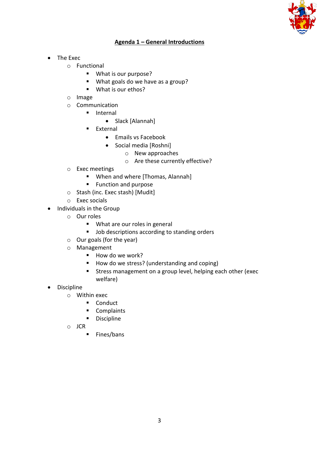

# **Agenda 1 – General Introductions**

- The Exec
	- o Functional
		- What is our purpose?
		- What goals do we have as a group?
		- What is our ethos?
	- o Image
	- o Communication
		- Internal
			- Slack [Alannah]
		- **■** External
			- Emails vs Facebook
			- Social media [Roshni]
				- o New approaches
				- o Are these currently effective?
	- o Exec meetings
		- When and where [Thomas, Alannah]
		- Function and purpose
	- o Stash (inc. Exec stash) [Mudit]
	- o Exec socials
- Individuals in the Group
	- o Our roles
		- What are our roles in general
		- Job descriptions according to standing orders
	- o Our goals (for the year)
	- o Management
		- How do we work?
		- How do we stress? (understanding and coping)
		- Stress management on a group level, helping each other (exec welfare)
- Discipline
	- o Within exec
		- Conduct
		- Complaints
		- Discipline
	- o JCR
		- Fines/bans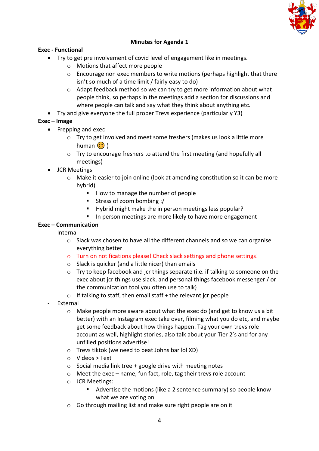

# **Minutes for Agenda 1**

## **Exec - Functional**

- Try to get pre involvement of covid level of engagement like in meetings.
	- o Motions that affect more people
	- $\circ$  Encourage non exec members to write motions (perhaps highlight that there isn't so much of a time limit / fairly easy to do)
	- $\circ$  Adapt feedback method so we can try to get more information about what people think, so perhaps in the meetings add a section for discussions and where people can talk and say what they think about anything etc.
- Try and give everyone the full proper Trevs experience (particularly Y3)

#### **Exec – Image**

- Frepping and exec
	- o Try to get involved and meet some freshers (makes us look a little more human  $\odot$ )
	- o Try to encourage freshers to attend the first meeting (and hopefully all meetings)
- JCR Meetings
	- o Make it easier to join online (look at amending constitution so it can be more hybrid)
		- How to manage the number of people
		- Stress of zoom bombing :/
		- Hybrid might make the in person meetings less popular?
		- In person meetings are more likely to have more engagement

#### **Exec – Communication**

- Internal
	- $\circ$  Slack was chosen to have all the different channels and so we can organise everything better
	- o Turn on notifications please! Check slack settings and phone settings!
	- o Slack is quicker (and a little nicer) than emails
	- o Try to keep facebook and jcr things separate (i.e. if talking to someone on the exec about jcr things use slack, and personal things facebook messenger / or the communication tool you often use to talk)
	- $\circ$  If talking to staff, then email staff + the relevant jcr people
- **External** 
	- o Make people more aware about what the exec do (and get to know us a bit better) with an Instagram exec take over, filming what you do etc, and maybe get some feedback about how things happen. Tag your own trevs role account as well, highlight stories, also talk about your Tier 2's and for any unfilled positions advertise!
	- o Trevs tiktok (we need to beat Johns bar lol XD)
	- o Videos > Text
	- $\circ$  Social media link tree + google drive with meeting notes
	- $\circ$  Meet the exec name, fun fact, role, tag their trevs role account
	- o JCR Meetings:
		- Advertise the motions (like a 2 sentence summary) so people know what we are voting on
	- o Go through mailing list and make sure right people are on it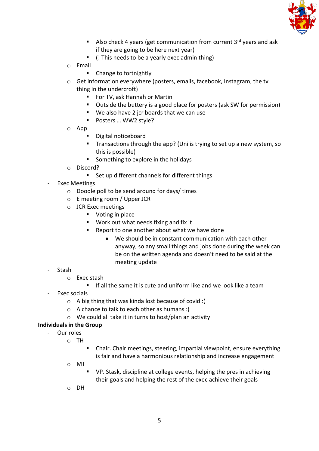

- **E** Also check 4 years (get communication from current  $3^{rd}$  years and ask if they are going to be here next year)
- (! This needs to be a yearly exec admin thing)
- o Email
	- Change to fortnightly
- o Get information everywhere (posters, emails, facebook, Instagram, the tv thing in the undercroft)
	- For TV, ask Hannah or Martin
	- Outside the buttery is a good place for posters (ask SW for permission)
	- We also have 2 jcr boards that we can use
	- Posters ... WW2 style?
- o App
	- Digital noticeboard
	- Transactions through the app? (Uni is trying to set up a new system, so this is possible)
	- Something to explore in the holidays
- o Discord?
	- Set up different channels for different things
- Exec Meetings
	- o Doodle poll to be send around for days/ times
	- o E meeting room / Upper JCR
	- o JCR Exec meetings
		- Voting in place
		- Work out what needs fixing and fix it
		- Report to one another about what we have done
			- We should be in constant communication with each other anyway, so any small things and jobs done during the week can be on the written agenda and doesn't need to be said at the meeting update
- Stash
	- o Exec stash
		- If all the same it is cute and uniform like and we look like a team
- Exec socials
	- o A big thing that was kinda lost because of covid :(
	- o A chance to talk to each other as humans :)
	- o We could all take it in turns to host/plan an activity

# **Individuals in the Group**

- Our roles
	- o TH
		- Chair. Chair meetings, steering, impartial viewpoint, ensure everything is fair and have a harmonious relationship and increase engagement
	- o MT
		- VP. Stask, discipline at college events, helping the pres in achieving their goals and helping the rest of the exec achieve their goals
	- o DH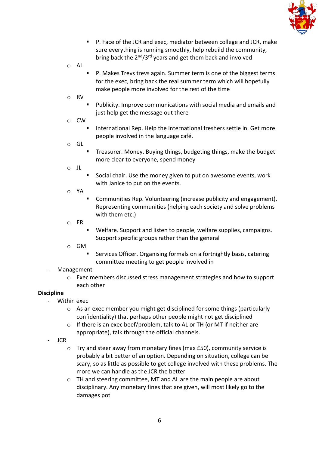

- P. Face of the JCR and exec, mediator between college and JCR, make sure everything is running smoothly, help rebuild the community, bring back the  $2<sup>nd</sup>/3<sup>rd</sup>$  years and get them back and involved
- o AL
- P. Makes Trevs trevs again. Summer term is one of the biggest terms for the exec, bring back the real summer term which will hopefully make people more involved for the rest of the time
- o RV
	- Publicity. Improve communications with social media and emails and just help get the message out there
- o CW
	- International Rep. Help the international freshers settle in. Get more people involved in the language café.
- o GL
	- Treasurer. Money. Buying things, budgeting things, make the budget more clear to everyone, spend money
- o JL
	- Social chair. Use the money given to put on awesome events, work with Janice to put on the events.
- o YA
	- Communities Rep. Volunteering (increase publicity and engagement), Representing communities (helping each society and solve problems with them etc.)
- o ER
	- Welfare. Support and listen to people, welfare supplies, campaigns. Support specific groups rather than the general
- o GM
	- Services Officer. Organising formals on a fortnightly basis, catering committee meeting to get people involved in
- **Management** 
	- o Exec members discussed stress management strategies and how to support each other

# **Discipline**

- Within exec
	- o As an exec member you might get disciplined for some things (particularly confidentiality) that perhaps other people might not get disciplined
	- o If there is an exec beef/problem, talk to AL or TH (or MT if neither are appropriate), talk through the official channels.
- JCR
	- o Try and steer away from monetary fines (max £50), community service is probably a bit better of an option. Depending on situation, college can be scary, so as little as possible to get college involved with these problems. The more we can handle as the JCR the better
	- o TH and steering committee, MT and AL are the main people are about disciplinary. Any monetary fines that are given, will most likely go to the damages pot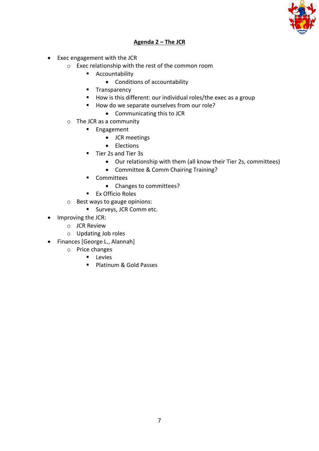

# **Agenda 2 – The JCR**

- Exec engagement with the JCR
	- o Exec relationship with the rest of the common room
		- Accountability
			- Conditions of accountability
		- Transparency
		- How is this different: our individual roles/the exec as a group
		- How do we separate ourselves from our role?
			- Communicating this to JCR
	- o The JCR as a community
		- Engagement
			- JCR meetings
			- Elections
		- Tier 2s and Tier 3s
			- Our relationship with them (all know their Tier 2s, committees)
			- Committee & Comm Chairing Training?
		- Committees
			- Changes to committees?
		- Ex Officio Roles
	- o Best ways to gauge opinions:
		- Surveys, JCR Comm etc.
- Improving the JCR:
	- o JCR Review
	- o Updating Job roles
- Finances [George L., Alannah]
	- o Price changes
		- Levies
		- Platinum & Gold Passes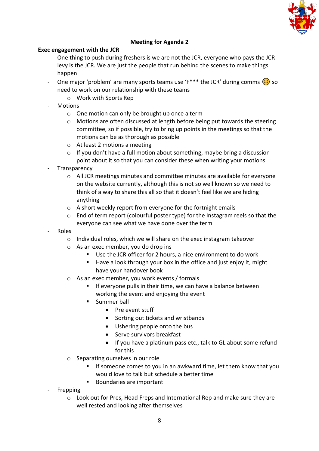

# **Meeting for Agenda 2**

# **Exec engagement with the JCR**

- One thing to push during freshers is we are not the JCR, everyone who pays the JCR levy is the JCR. We are just the people that run behind the scenes to make things happen
- One major 'problem' are many sports teams use ' $F^{***}$  the JCR' during comms  $\langle \cdot \rangle$  so need to work on our relationship with these teams
	- o Work with Sports Rep
- Motions
	- o One motion can only be brought up once a term
	- $\circ$  Motions are often discussed at length before being put towards the steering committee, so if possible, try to bring up points in the meetings so that the motions can be as thorough as possible
	- o At least 2 motions a meeting
	- $\circ$  If you don't have a full motion about something, maybe bring a discussion point about it so that you can consider these when writing your motions
- **Transparency** 
	- o All JCR meetings minutes and committee minutes are available for everyone on the website currently, although this is not so well known so we need to think of a way to share this all so that it doesn't feel like we are hiding anything
	- o A short weekly report from everyone for the fortnight emails
	- $\circ$  End of term report (colourful poster type) for the Instagram reels so that the everyone can see what we have done over the term
- Roles
	- $\circ$  Individual roles, which we will share on the exec instagram takeover
	- o As an exec member, you do drop ins
		- Use the JCR officer for 2 hours, a nice environment to do work
		- Have a look through your box in the office and just enjoy it, might have your handover book
	- o As an exec member, you work events / formals
		- If everyone pulls in their time, we can have a balance between working the event and enjoying the event
		- **■** Summer ball
			- Pre event stuff
			- Sorting out tickets and wristbands
			- Ushering people onto the bus
			- Serve survivors breakfast
			- If you have a platinum pass etc., talk to GL about some refund for this
	- o Separating ourselves in our role
		- If someone comes to you in an awkward time, let them know that you would love to talk but schedule a better time
		- Boundaries are important
- **Frepping** 
	- o Look out for Pres, Head Freps and International Rep and make sure they are well rested and looking after themselves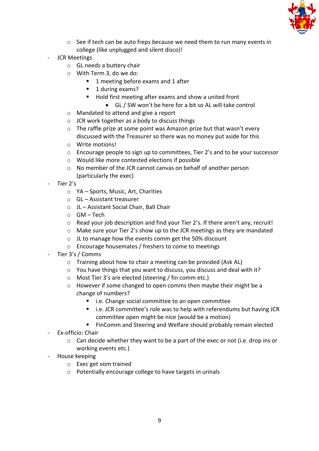

- o See if tech can be auto freps because we need them to run many events in college (like unplugged and silent disco)!
- JCR Meetings
	- o GL needs a buttery chair
	- o With Term 3, do we do:
		- 1 meeting before exams and 1 after
		- 1 during exams?
		- Hold first meeting after exams and show a united front
			- GL / SW won't be here for a bit so AL will take control
	- o Mandated to attend and give a report
	- $\circ$  JCR work together as a body to discuss things
	- o The raffle prize at some point was Amazon prize but that wasn't every discussed with the Treasurer so there was no money put aside for this
	- o Write motions!
	- o Encourage people to sign up to committees, Tier 2's and to be your successor
	- o Would like more contested elections if possible
	- o No member of the JCR cannot canvas on behalf of another person (particularly the exec)
- Tier 2's
	- o YA Sports, Music, Art, Charities
	- o GL Assistant treasurer
	- o JL Assistant Social Chair, Ball Chair
	- $O$  GM Tech
	- o Read your job description and find your Tier 2's. If there aren't any, recruit!
	- o Make sure your Tier 2's show up to the JCR meetings as they are mandated
	- o JL to manage how the events comm get the 50% discount
	- o Encourage housemates / freshers to come to meetings
- Tier 3's / Comms
	- o Training about how to chair a meeting can be provided (Ask AL)
	- o You have things that you want to discuss, you discuss and deal with it?
	- o Most Tier 3's are elected (steering / fin comm etc.)
	- o However if some changed to open comms then maybe their might be a change of numbers?
		- i.e. Change social committee to an open committee
		- i.e. JCR committee's role was to help with referendums but having JCR committee open might be nice (would be a motion)
		- FinComm and Steering and Welfare should probably remain elected
- Ex-officio: Chair
	- $\circ$  Can decide whether they want to be a part of the exec or not (i.e. drop ins or working events etc.)
- House keeping
	- o Exec get vom trained
	- o Potentially encourage college to have targets in urinals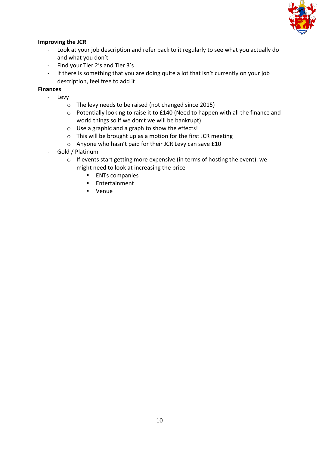

# **Improving the JCR**

- Look at your job description and refer back to it regularly to see what you actually do and what you don't
- Find your Tier 2's and Tier 3's
- If there is something that you are doing quite a lot that isn't currently on your job description, feel free to add it

# **Finances**

- Levy
	- o The levy needs to be raised (not changed since 2015)
	- o Potentially looking to raise it to £140 (Need to happen with all the finance and world things so if we don't we will be bankrupt)
	- o Use a graphic and a graph to show the effects!
	- o This will be brought up as a motion for the first JCR meeting
	- o Anyone who hasn't paid for their JCR Levy can save £10
- Gold / Platinum
	- o If events start getting more expensive (in terms of hosting the event), we might need to look at increasing the price
		- ENTs companies
		- Entertainment
		- Venue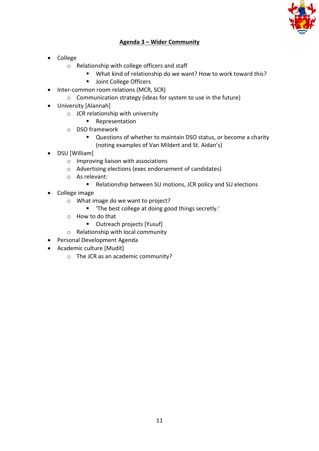

# **Agenda 3 – Wider Community**

- College
	- o Relationship with college officers and staff
		- What kind of relationship do we want? How to work toward this?
		- Joint College Officers
- Inter-common room relations (MCR, SCR)
	- o Communication strategy (ideas for system to use in the future)
- University [Alannah]
	- o JCR relationship with university
		- Representation
	- o DSO framework
		- Questions of whether to maintain DSO status, or become a charity (noting examples of Van Mildert and St. Aidan's)
- DSU [William]
	- o Improving liaison with associations
	- o Advertising elections (exec endorsement of candidates)
	- o As relevant:
		- Relationship between SU motions, JCR policy and SU elections
- College image
	- o What image do we want to project?
		- 'The best college at doing good things secretly.'
	- o How to do that
		- Outreach projects [Yusuf]
	- o Relationship with local community
- Personal Development Agenda
- Academic culture [Mudit]
	- o The JCR as an academic community?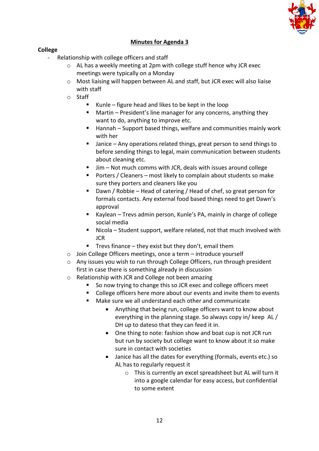

# **Minutes for Agenda 3**

#### **College**

- Relationship with college officers and staff
	- o AL has a weekly meeting at 2pm with college stuff hence why JCR exec meetings were typically on a Monday
	- $\circ$  Most liaising will happen between AL and staff, but JCR exec will also liaise with staff
	- o Staff
		- Kunle figure head and likes to be kept in the loop
		- Martin President's line manager for any concerns, anything they want to do, anything to improve etc.
		- Hannah Support based things, welfare and communities mainly work with her
		- Janice Any operations related things, great person to send things to before sending things to legal, main communication between students about cleaning etc.
		- Jim Not much comms with JCR, deals with issues around college
		- Porters / Cleaners most likely to complain about students so make sure they porters and cleaners like you
		- Dawn / Robbie Head of catering / Head of chef, so great person for formals contacts. Any external food based things need to get Dawn's approval
		- Kaylean Trevs admin person, Kunle's PA, mainly in charge of college social media
		- Nicola Student support, welfare related, not that much involved with JCR
		- $\blacksquare$  Trevs finance they exist but they don't, email them
	- o Join College Officers meetings, once a term introduce yourself
	- o Any issues you wish to run through College Officers, run through president first in case there is something already in discussion
	- o Relationship with JCR and College not been amazing
		- So now trying to change this so JCR exec and college officers meet
		- College officers here more about our events and invite them to events
		- Make sure we all understand each other and communicate
			- Anything that being run, college officers want to know about everything in the planning stage. So always copy in/ keep AL / DH up to dateso that they can feed it in.
			- One thing to note: fashion show and boat cup is not JCR run but run by society but college want to know about it so make sure in contact with societies
			- Janice has all the dates for everything (formals, events etc.) so AL has to regularly request it
				- o This is currently an excel spreadsheet but AL will turn it into a google calendar for easy access, but confidential to some extent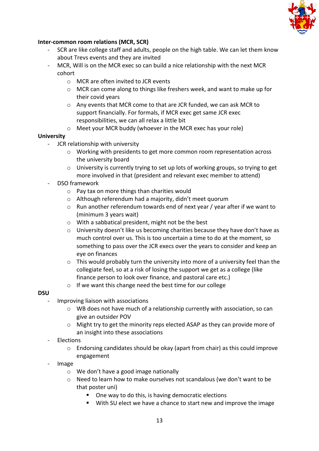

## **Inter-common room relations (MCR, SCR)**

- SCR are like college staff and adults, people on the high table. We can let them know about Trevs events and they are invited
- MCR, Will is on the MCR exec so can build a nice relationship with the next MCR cohort
	- o MCR are often invited to JCR events
	- o MCR can come along to things like freshers week, and want to make up for their covid years
	- o Any events that MCR come to that are JCR funded, we can ask MCR to support financially. For formals, if MCR exec get same JCR exec responsibilities, we can all relax a little bit
	- o Meet your MCR buddy (whoever in the MCR exec has your role)

#### **University**

- JCR relationship with university
	- o Working with presidents to get more common room representation across the university board
	- $\circ$  University is currently trying to set up lots of working groups, so trying to get more involved in that (president and relevant exec member to attend)
- DSO framework
	- o Pay tax on more things than charities would
	- o Although referendum had a majority, didn't meet quorum
	- $\circ$  Run another referendum towards end of next year / year after if we want to (minimum 3 years wait)
	- o With a sabbatical president, might not be the best
	- $\circ$  University doesn't like us becoming charities because they have don't have as much control over us. This is too uncertain a time to do at the moment, so something to pass over the JCR execs over the years to consider and keep an eye on finances
	- $\circ$  This would probably turn the university into more of a university feel than the collegiate feel, so at a risk of losing the support we get as a college (like finance person to look over finance, and pastoral care etc.)
	- o If we want this change need the best time for our college

#### **DSU**

- Improving liaison with associations
	- o WB does not have much of a relationship currently with association, so can give an outsider POV
	- o Might try to get the minority reps elected ASAP as they can provide more of an insight into these associations
- Elections
	- o Endorsing candidates should be okay (apart from chair) as this could improve engagement
- Image
	- o We don't have a good image nationally
	- $\circ$  Need to learn how to make ourselves not scandalous (we don't want to be that poster uni)
		- One way to do this, is having democratic elections
		- With SU elect we have a chance to start new and improve the image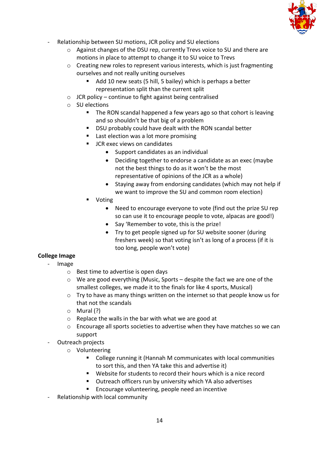

- Relationship between SU motions, JCR policy and SU elections
	- o Against changes of the DSU rep, currently Trevs voice to SU and there are motions in place to attempt to change it to SU voice to Trevs
	- $\circ$  Creating new roles to represent various interests, which is just fragmenting ourselves and not really uniting ourselves
		- Add 10 new seats (5 hill, 5 bailey) which is perhaps a better representation split than the current split
	- $\circ$  JCR policy continue to fight against being centralised
	- o SU elections
		- The RON scandal happened a few years ago so that cohort is leaving and so shouldn't be that big of a problem
		- DSU probably could have dealt with the RON scandal better
		- Last election was a lot more promising
		- JCR exec views on candidates
			- Support candidates as an individual
			- Deciding together to endorse a candidate as an exec (maybe not the best things to do as it won't be the most representative of opinions of the JCR as a whole)
			- Staying away from endorsing candidates (which may not help if we want to improve the SU and common room election)
		- **Voting** 
			- Need to encourage everyone to vote (find out the prize SU rep so can use it to encourage people to vote, alpacas are good!)
			- Say 'Remember to vote, this is the prize!
			- Try to get people signed up for SU website sooner (during freshers week) so that voting isn't as long of a process (if it is too long, people won't vote)

# **College Image**

- Image
	- o Best time to advertise is open days
	- $\circ$  We are good everything (Music, Sports despite the fact we are one of the smallest colleges, we made it to the finals for like 4 sports, Musical)
	- $\circ$  Try to have as many things written on the internet so that people know us for that not the scandals
	- o Mural (?)
	- o Replace the walls in the bar with what we are good at
	- $\circ$  Encourage all sports societies to advertise when they have matches so we can support
- Outreach projects
	- o Volunteering
		- College running it (Hannah M communicates with local communities to sort this, and then YA take this and advertise it)
		- Website for students to record their hours which is a nice record
		- Outreach officers run by university which YA also advertises
		- Encourage volunteering, people need an incentive
- Relationship with local community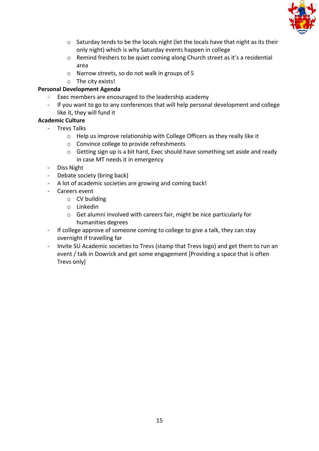

- o Saturday tends to be the locals night (let the locals have that night as its their only night) which is why Saturday events happen in college
- o Remind freshers to be quiet coming along Church street as it's a residential area
- o Narrow streets, so do not walk in groups of 5
- o The city exists!

# **Personal Development Agenda**

- Exec members are encouraged to the leadership academy
- If you want to go to any conferences that will help personal development and college like it, they will fund it

# **Academic Culture**

- Trevs Talks
	- o Help us improve relationship with College Officers as they really like it
	- o Convince college to provide refreshments
	- o Getting sign up is a bit hard, Exec should have something set aside and ready in case MT needs it in emergency
- Diss Night
- Debate society (bring back)
- A lot of academic societies are growing and coming back!
- Careers event
	- o CV building
	- o Linkedin
	- o Get alumni involved with careers fair, might be nice particularly for humanities degrees
- If college approve of someone coming to college to give a talk, they can stay overnight if travelling far
- Invite SU Academic societies to Trevs (stamp that Trevs logo) and get them to run an event / talk in Dowrick and get some engagement [Providing a space that is often Trevs only]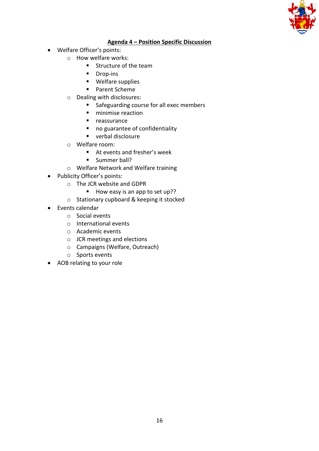

# **Agenda 4 – Position Specific Discussion**

- Welfare Officer's points:
	- o How welfare works:
		- Structure of the team
		- Drop-ins
		- Welfare supplies
		- Parent Scheme
	- o Dealing with disclosures:
		- Safeguarding course for all exec members
		- minimise reaction
		- reassurance
		- no guarantee of confidentiality
		- verbal disclosure
	- o Welfare room:
		- At events and fresher's week
		- **■** Summer ball?
	- o Welfare Network and Welfare training
- Publicity Officer's points:
	- o The JCR website and GDPR
		- How easy is an app to set up??
	- o Stationary cupboard & keeping it stocked
- Events calendar
	- o Social events
	- o International events
	- o Academic events
	- o JCR meetings and elections
	- o Campaigns (Welfare, Outreach)
	- o Sports events
- AOB relating to your role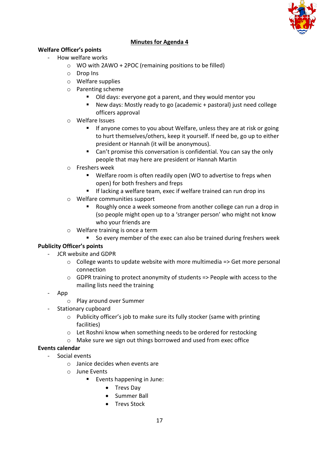

# **Minutes for Agenda 4**

# **Welfare Officer's points**

- How welfare works
	- o WO with 2AWO + 2POC (remaining positions to be filled)
	- o Drop Ins
	- o Welfare supplies
	- o Parenting scheme
		- Old days: everyone got a parent, and they would mentor you
		- New days: Mostly ready to go (academic + pastoral) just need college officers approval
	- o Welfare Issues
		- If anyone comes to you about Welfare, unless they are at risk or going to hurt themselves/others, keep it yourself. If need be, go up to either president or Hannah (it will be anonymous).
		- Can't promise this conversation is confidential. You can say the only people that may here are president or Hannah Martin
	- o Freshers week
		- Welfare room is often readily open (WO to advertise to freps when open) for both freshers and freps
		- If lacking a welfare team, exec if welfare trained can run drop ins
	- o Welfare communities support
		- Roughly once a week someone from another college can run a drop in (so people might open up to a 'stranger person' who might not know who your friends are
	- o Welfare training is once a term
		- So every member of the exec can also be trained during freshers week

# **Publicity Officer's points**

- JCR website and GDPR
	- $\circ$  College wants to update website with more multimedia => Get more personal connection
	- o GDPR training to protect anonymity of students => People with access to the mailing lists need the training
- App
	- o Play around over Summer
- Stationary cupboard
	- o Publicity officer's job to make sure its fully stocker (same with printing facilities)
	- o Let Roshni know when something needs to be ordered for restocking
	- o Make sure we sign out things borrowed and used from exec office

# **Events calendar**

- Social events
	- $\circ$  Janice decides when events are
	- o June Events
		- Events happening in June:
			- Trevs Day
			- Summer Ball
			- Trevs Stock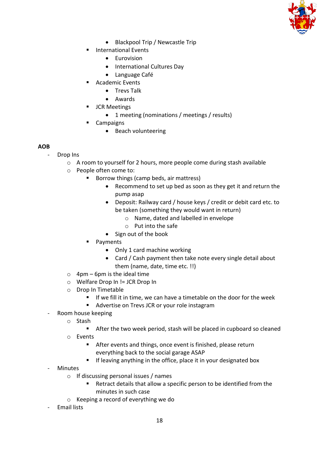

- Blackpool Trip / Newcastle Trip
- International Events
	- Eurovision
	- International Cultures Day
	- Language Café
- Academic Events
	- Trevs Talk
	- Awards
- JCR Meetings
	- 1 meeting (nominations / meetings / results)
- Campaigns
	- Beach volunteering

# **AOB**

- Drop Ins
	- o A room to yourself for 2 hours, more people come during stash available
	- o People often come to:
		- Borrow things (camp beds, air mattress)
			- Recommend to set up bed as soon as they get it and return the pump asap
			- Deposit: Railway card / house keys / credit or debit card etc. to be taken (something they would want in return)
				- o Name, dated and labelled in envelope
				- o Put into the safe
			- Sign out of the book
			- Payments
				- Only 1 card machine working
				- Card / Cash payment then take note every single detail about them (name, date, time etc. !!)
	- $\circ$  4pm 6pm is the ideal time
	- o Welfare Drop In != JCR Drop In
	- o Drop In Timetable
		- If we fill it in time, we can have a timetable on the door for the week
		- Advertise on Trevs JCR or your role instagram
- Room house keeping
	- o Stash
		- After the two week period, stash will be placed in cupboard so cleaned
	- o Events
		- After events and things, once event is finished, please return everything back to the social garage ASAP
		- **E** If leaving anything in the office, place it in your designated box
- **Minutes** 
	- o If discussing personal issues / names
		- Retract details that allow a specific person to be identified from the minutes in such case
	- o Keeping a record of everything we do
- Email lists